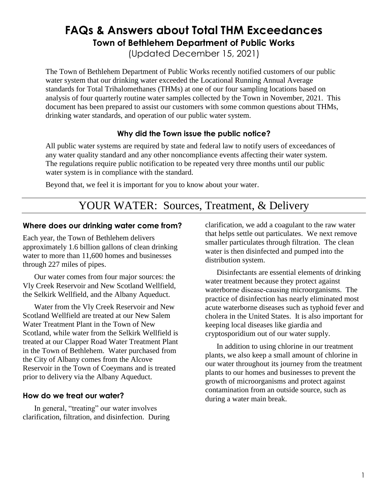## **FAQs & Answers about Total THM Exceedances Town of Bethlehem Department of Public Works**

(Updated December 15, 2021)

The Town of Bethlehem Department of Public Works recently notified customers of our public water system that our drinking water exceeded the Locational Running Annual Average standards for Total Trihalomethanes (THMs) at one of our four sampling locations based on analysis of four quarterly routine water samples collected by the Town in November, 2021. This document has been prepared to assist our customers with some common questions about THMs, drinking water standards, and operation of our public water system.

### **Why did the Town issue the public notice?**

All public water systems are required by state and federal law to notify users of exceedances of any water quality standard and any other noncompliance events affecting their water system. The regulations require public notification to be repeated very three months until our public water system is in compliance with the standard.

Beyond that, we feel it is important for you to know about your water.

# YOUR WATER: Sources, Treatment, & Delivery

#### **Where does our drinking water come from?**

Each year, the Town of Bethlehem delivers approximately 1.6 billion gallons of clean drinking water to more than 11,600 homes and businesses through 227 miles of pipes.

Our water comes from four major sources: the Vly Creek Reservoir and New Scotland Wellfield, the Selkirk Wellfield, and the Albany Aqueduct.

Water from the Vly Creek Reservoir and New Scotland Wellfield are treated at our New Salem Water Treatment Plant in the Town of New Scotland, while water from the Selkirk Wellfield is treated at our Clapper Road Water Treatment Plant in the Town of Bethlehem. Water purchased from the City of Albany comes from the Alcove Reservoir in the Town of Coeymans and is treated prior to delivery via the Albany Aqueduct.

#### **How do we treat our water?**

In general, "treating" our water involves clarification, filtration, and disinfection. During clarification, we add a coagulant to the raw water that helps settle out particulates. We next remove smaller particulates through filtration. The clean water is then disinfected and pumped into the distribution system.

Disinfectants are essential elements of drinking water treatment because they protect against waterborne disease-causing microorganisms. The practice of disinfection has nearly eliminated most acute waterborne diseases such as typhoid fever and cholera in the United States. It is also important for keeping local diseases like giardia and cryptosporidium out of our water supply.

In addition to using chlorine in our treatment plants, we also keep a small amount of chlorine in our water throughout its journey from the treatment plants to our homes and businesses to prevent the growth of microorganisms and protect against contamination from an outside source, such as during a water main break.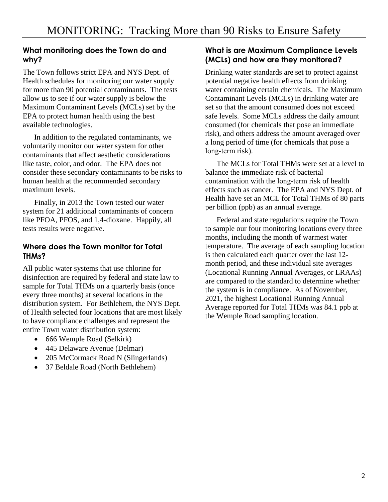### **What monitoring does the Town do and why?**

The Town follows strict EPA and NYS Dept. of Health schedules for monitoring our water supply for more than 90 potential contaminants. The tests allow us to see if our water supply is below the Maximum Contaminant Levels (MCLs) set by the EPA to protect human health using the best available technologies.

In addition to the regulated contaminants, we voluntarily monitor our water system for other contaminants that affect aesthetic considerations like taste, color, and odor. The EPA does not consider these secondary contaminants to be risks to human health at the recommended secondary maximum levels.

Finally, in 2013 the Town tested our water system for 21 additional contaminants of concern like PFOA, PFOS, and 1,4-dioxane. Happily, all tests results were negative.

### **Where does the Town monitor for Total THMs?**

All public water systems that use chlorine for disinfection are required by federal and state law to sample for Total THMs on a quarterly basis (once every three months) at several locations in the distribution system. For Bethlehem, the NYS Dept. of Health selected four locations that are most likely to have compliance challenges and represent the entire Town water distribution system:

- 666 Wemple Road (Selkirk)
- 445 Delaware Avenue (Delmar)
- 205 McCormack Road N (Slingerlands)
- 37 Beldale Road (North Bethlehem)

### **What is are Maximum Compliance Levels (MCLs) and how are they monitored?**

Drinking water standards are set to protect against potential negative health effects from drinking water containing certain chemicals. The Maximum Contaminant Levels (MCLs) in drinking water are set so that the amount consumed does not exceed safe levels. Some MCLs address the daily amount consumed (for chemicals that pose an immediate risk), and others address the amount averaged over a long period of time (for chemicals that pose a long‐term risk).

The MCLs for Total THMs were set at a level to balance the immediate risk of bacterial contamination with the long‐term risk of health effects such as cancer. The EPA and NYS Dept. of Health have set an MCL for Total THMs of 80 parts per billion (ppb) as an annual average.

Federal and state regulations require the Town to sample our four monitoring locations every three months, including the month of warmest water temperature. The average of each sampling location is then calculated each quarter over the last 12‐ month period, and these individual site averages (Locational Running Annual Averages, or LRAAs) are compared to the standard to determine whether the system is in compliance. As of November, 2021, the highest Locational Running Annual Average reported for Total THMs was 84.1 ppb at the Wemple Road sampling location.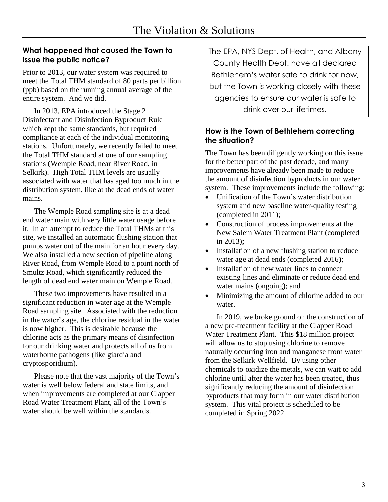### **What happened that caused the Town to issue the public notice?**

Prior to 2013, our water system was required to meet the Total THM standard of 80 parts per billion (ppb) based on the running annual average of the entire system. And we did.

In 2013, EPA introduced the Stage 2 Disinfectant and Disinfection Byproduct Rule which kept the same standards, but required compliance at each of the individual monitoring stations. Unfortunately, we recently failed to meet the Total THM standard at one of our sampling stations (Wemple Road, near River Road, in Selkirk). High Total THM levels are usually associated with water that has aged too much in the distribution system, like at the dead ends of water mains.

The Wemple Road sampling site is at a dead end water main with very little water usage before it. In an attempt to reduce the Total THMs at this site, we installed an automatic flushing station that pumps water out of the main for an hour every day. We also installed a new section of pipeline along River Road, from Wemple Road to a point north of Smultz Road, which significantly reduced the length of dead end water main on Wemple Road.

These two improvements have resulted in a significant reduction in water age at the Wemple Road sampling site. Associated with the reduction in the water's age, the chlorine residual in the water is now higher. This is desirable because the chlorine acts as the primary means of disinfection for our drinking water and protects all of us from waterborne pathogens (like giardia and cryptosporidium).

Please note that the vast majority of the Town's water is well below federal and state limits, and when improvements are completed at our Clapper Road Water Treatment Plant, all of the Town's water should be well within the standards.

The EPA, NYS Dept. of Health, and Albany County Health Dept. have all declared Bethlehem's water safe to drink for now, but the Town is working closely with these agencies to ensure our water is safe to drink over our lifetimes.

### **How is the Town of Bethlehem correcting the situation?**

The Town has been diligently working on this issue for the better part of the past decade, and many improvements have already been made to reduce the amount of disinfection byproducts in our water system. These improvements include the following:

- Unification of the Town's water distribution system and new baseline water-quality testing (completed in 2011);
- Construction of process improvements at the New Salem Water Treatment Plant (completed in 2013);
- Installation of a new flushing station to reduce water age at dead ends (completed 2016);
- Installation of new water lines to connect existing lines and eliminate or reduce dead end water mains (ongoing); and
- Minimizing the amount of chlorine added to our water.

In 2019, we broke ground on the construction of a new pre-treatment facility at the Clapper Road Water Treatment Plant. This \$18 million project will allow us to stop using chlorine to remove naturally occurring iron and manganese from water from the Selkirk Wellfield. By using other chemicals to oxidize the metals, we can wait to add chlorine until after the water has been treated, thus significantly reducing the amount of disinfection byproducts that may form in our water distribution system. This vital project is scheduled to be completed in Spring 2022.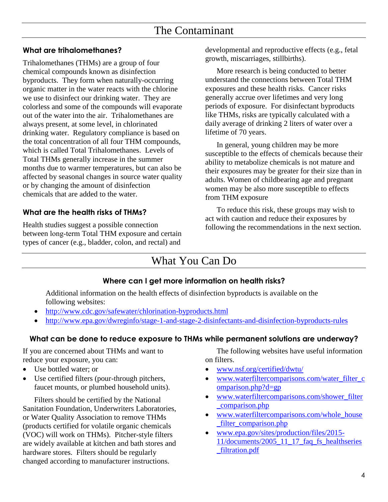# The Contaminant

### **What are trihalomethanes?**

Trihalomethanes (THMs) are a group of four chemical compounds known as disinfection byproducts. They form when naturally-occurring organic matter in the water reacts with the chlorine we use to disinfect our drinking water. They are colorless and some of the compounds will evaporate out of the water into the air. Trihalomethanes are always present, at some level, in chlorinated drinking water. Regulatory compliance is based on the total concentration of all four THM compounds, which is called Total Trihalomethanes. Levels of Total THMs generally increase in the summer months due to warmer temperatures, but can also be affected by seasonal changes in source water quality or by changing the amount of disinfection chemicals that are added to the water.

### **What are the health risks of THMs?**

Health studies suggest a possible connection between long‐term Total THM exposure and certain types of cancer (e.g., bladder, colon, and rectal) and

developmental and reproductive effects (e.g., fetal growth, miscarriages, stillbirths).

More research is being conducted to better understand the connections between Total THM exposures and these health risks. Cancer risks generally accrue over lifetimes and very long periods of exposure. For disinfectant byproducts like THMs, risks are typically calculated with a daily average of drinking 2 liters of water over a lifetime of 70 years.

In general, young children may be more susceptible to the effects of chemicals because their ability to metabolize chemicals is not mature and their exposures may be greater for their size than in adults. Women of childbearing age and pregnant women may be also more susceptible to effects from THM exposure

To reduce this risk, these groups may wish to act with caution and reduce their exposures by following the recommendations in the next section.

# What You Can Do

### **Where can I get more information on health risks?**

Additional information on the health effects of disinfection byproducts is available on the following websites:

- <http://www.cdc.gov/safewater/chlorination-byproducts.html>
- <http://www.epa.gov/dwreginfo/stage-1-and-stage-2-disinfectants-and-disinfection-byproducts-rules>

### **What can be done to reduce exposure to THMs while permanent solutions are underway?**

If you are concerned about THMs and want to reduce your exposure, you can:

- Use bottled water; or
- Use certified filters (pour-through pitchers, faucet mounts, or plumbed household units).

Filters should be certified by the National Sanitation Foundation, Underwriters Laboratories, or Water Quality Association to remove THMs (products certified for volatile organic chemicals (VOC) will work on THMs). Pitcher-style filters are widely available at kitchen and bath stores and hardware stores. Filters should be regularly changed according to manufacturer instructions.

The following websites have useful information on filters.

- [www.nsf.org/certified/dwtu/](http://www.nsf.org/certified/dwtu/)
- [www.waterfiltercomparisons.com/water\\_filter\\_c](http://www.waterfiltercomparisons.com/water_filter_comparison.php?d=gp) [omparison.php?d=gp](http://www.waterfiltercomparisons.com/water_filter_comparison.php?d=gp)
- [www.waterfiltercomparisons.com/shower\\_filter](http://www.waterfiltercomparisons.com/shower_filter_comparison.php) [\\_comparison.php](http://www.waterfiltercomparisons.com/shower_filter_comparison.php)
- [www.waterfiltercomparisons.com/whole\\_house](http://www.waterfiltercomparisons.com/whole_house_filter_comparison.php) [\\_filter\\_comparison.php](http://www.waterfiltercomparisons.com/whole_house_filter_comparison.php)
- [www.epa.gov/sites/production/files/2015-](http://www.epa.gov/sites/production/files/2015-11/documents/2005_11_17_faq_fs_healthseries_filtration.pdf) [11/documents/2005\\_11\\_17\\_faq\\_fs\\_healthseries](http://www.epa.gov/sites/production/files/2015-11/documents/2005_11_17_faq_fs_healthseries_filtration.pdf) [\\_filtration.pdf](http://www.epa.gov/sites/production/files/2015-11/documents/2005_11_17_faq_fs_healthseries_filtration.pdf)